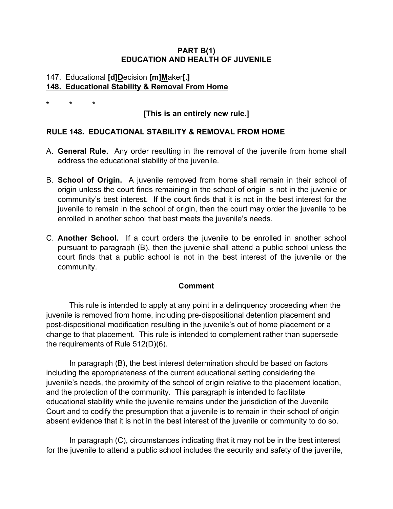### **PART B(1) EDUCATION AND HEALTH OF JUVENILE**

### 147. Educational **[d]D**ecision **[m]M**aker**[.] 148. Educational Stability & Removal From Home**

**\* \* \***

# **[This is an entirely new rule.]**

### **RULE 148. EDUCATIONAL STABILITY & REMOVAL FROM HOME**

- A. **General Rule.** Any order resulting in the removal of the juvenile from home shall address the educational stability of the juvenile.
- B. **School of Origin.** A juvenile removed from home shall remain in their school of origin unless the court finds remaining in the school of origin is not in the juvenile or community's best interest. If the court finds that it is not in the best interest for the juvenile to remain in the school of origin, then the court may order the juvenile to be enrolled in another school that best meets the juvenile's needs.
- C. **Another School.** If a court orders the juvenile to be enrolled in another school pursuant to paragraph (B), then the juvenile shall attend a public school unless the court finds that a public school is not in the best interest of the juvenile or the community.

### **Comment**

This rule is intended to apply at any point in a delinquency proceeding when the juvenile is removed from home, including pre-dispositional detention placement and post-dispositional modification resulting in the juvenile's out of home placement or a change to that placement. This rule is intended to complement rather than supersede the requirements of Rule 512(D)(6).

In paragraph (B), the best interest determination should be based on factors including the appropriateness of the current educational setting considering the juvenile's needs, the proximity of the school of origin relative to the placement location, and the protection of the community. This paragraph is intended to facilitate educational stability while the juvenile remains under the jurisdiction of the Juvenile Court and to codify the presumption that a juvenile is to remain in their school of origin absent evidence that it is not in the best interest of the juvenile or community to do so.

In paragraph (C), circumstances indicating that it may not be in the best interest for the juvenile to attend a public school includes the security and safety of the juvenile,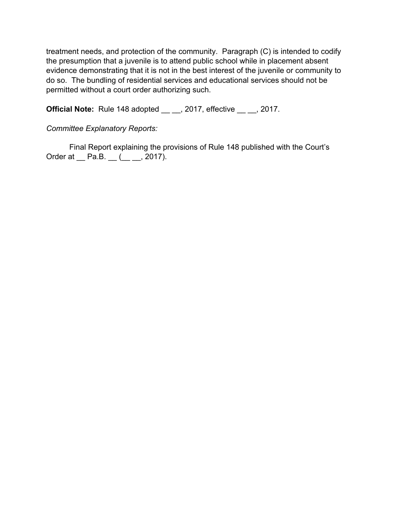treatment needs, and protection of the community. Paragraph (C) is intended to codify the presumption that a juvenile is to attend public school while in placement absent evidence demonstrating that it is not in the best interest of the juvenile or community to do so. The bundling of residential services and educational services should not be permitted without a court order authorizing such.

**Official Note:** Rule 148 adopted , 2017, effective , 2017.

## *Committee Explanatory Reports:*

Final Report explaining the provisions of Rule 148 published with the Court's Order at \_\_ Pa.B. \_\_ (\_\_ \_\_, 2017).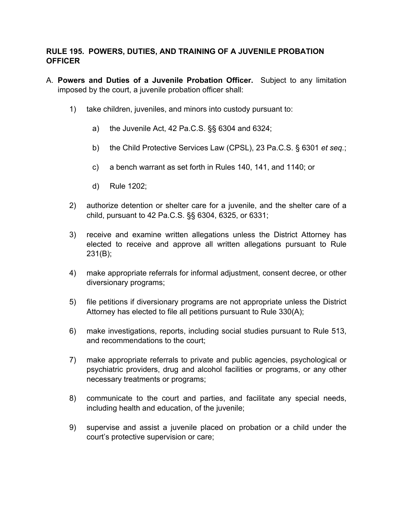### **RULE 195. POWERS, DUTIES, AND TRAINING OF A JUVENILE PROBATION OFFICER**

- A. **Powers and Duties of a Juvenile Probation Officer.** Subject to any limitation imposed by the court, a juvenile probation officer shall:
	- 1) take children, juveniles, and minors into custody pursuant to:
		- a) the Juvenile Act, 42 Pa.C.S. §§ 6304 and 6324;
		- b) the Child Protective Services Law (CPSL), 23 Pa.C.S. § 6301 *et seq.*;
		- c) a bench warrant as set forth in Rules 140, 141, and 1140; or
		- d) Rule 1202;
	- 2) authorize detention or shelter care for a juvenile, and the shelter care of a child, pursuant to 42 Pa.C.S. §§ 6304, 6325, or 6331;
	- 3) receive and examine written allegations unless the District Attorney has elected to receive and approve all written allegations pursuant to Rule 231(B);
	- 4) make appropriate referrals for informal adjustment, consent decree, or other diversionary programs;
	- 5) file petitions if diversionary programs are not appropriate unless the District Attorney has elected to file all petitions pursuant to Rule 330(A);
	- 6) make investigations, reports, including social studies pursuant to Rule 513, and recommendations to the court;
	- 7) make appropriate referrals to private and public agencies, psychological or psychiatric providers, drug and alcohol facilities or programs, or any other necessary treatments or programs;
	- 8) communicate to the court and parties, and facilitate any special needs, including health and education, of the juvenile;
	- 9) supervise and assist a juvenile placed on probation or a child under the court's protective supervision or care;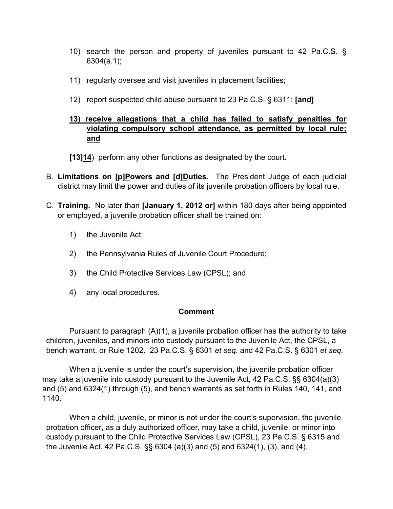- 10) search the person and property of juveniles pursuant to 42 Pa.C.S. § 6304(a.1);
- 11) regularly oversee and visit juveniles in placement facilities;
- 12) report suspected child abuse pursuant to 23 Pa.C.S. § 6311; **[and]**

## **13) receive allegations that a child has failed to satisfy penalties for violating compulsory school attendance, as permitted by local rule; and**

**[13]14**) perform any other functions as designated by the court.

- B. **Limitations on [p]Powers and [d]Duties.** The President Judge of each judicial district may limit the power and duties of its juvenile probation officers by local rule.
- C. **Training.** No later than **[January 1, 2012 or]** within 180 days after being appointed or employed, a juvenile probation officer shall be trained on:
	- 1) the Juvenile Act;
	- 2) the Pennsylvania Rules of Juvenile Court Procedure;
	- 3) the Child Protective Services Law (CPSL); and
	- 4) any local procedures.

#### **Comment**

Pursuant to paragraph (A)(1), a juvenile probation officer has the authority to take children, juveniles, and minors into custody pursuant to the Juvenile Act, the CPSL, a bench warrant, or Rule 1202. 23 Pa.C.S. § 6301 *et seq.* and 42 Pa.C.S. § 6301 *et seq.* 

When a juvenile is under the court's supervision, the juvenile probation officer may take a juvenile into custody pursuant to the Juvenile Act, 42 Pa.C.S. §§ 6304(a)(3) and (5) and 6324(1) through (5), and bench warrants as set forth in Rules 140, 141, and 1140.

When a child, juvenile, or minor is not under the court's supervision, the juvenile probation officer, as a duly authorized officer, may take a child, juvenile, or minor into custody pursuant to the Child Protective Services Law (CPSL), 23 Pa.C.S. § 6315 and the Juvenile Act, 42 Pa.C.S. §§ 6304 (a)(3) and (5) and 6324(1), (3), and (4).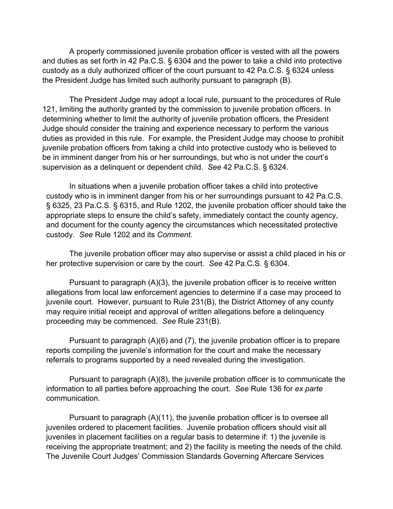A properly commissioned juvenile probation officer is vested with all the powers and duties as set forth in 42 Pa.C.S. § 6304 and the power to take a child into protective custody as a duly authorized officer of the court pursuant to 42 Pa.C.S. § 6324 unless the President Judge has limited such authority pursuant to paragraph (B).

The President Judge may adopt a local rule, pursuant to the procedures of Rule 121, limiting the authority granted by the commission to juvenile probation officers. In determining whether to limit the authority of juvenile probation officers, the President Judge should consider the training and experience necessary to perform the various duties as provided in this rule. For example, the President Judge may choose to prohibit juvenile probation officers from taking a child into protective custody who is believed to be in imminent danger from his or her surroundings, but who is not under the court's supervision as a delinquent or dependent child. *See* 42 Pa.C.S. § 6324.

In situations when a juvenile probation officer takes a child into protective custody who is in imminent danger from his or her surroundings pursuant to 42 Pa.C.S. § 6325, 23 Pa.C.S. § 6315, and Rule 1202, the juvenile probation officer should take the appropriate steps to ensure the child's safety, immediately contact the county agency, and document for the county agency the circumstances which necessitated protective custody. *See* Rule 1202 and its *Comment.*

The juvenile probation officer may also supervise or assist a child placed in his or her protective supervision or care by the court. *See* 42 Pa.C.S. § 6304.

Pursuant to paragraph (A)(3), the juvenile probation officer is to receive written allegations from local law enforcement agencies to determine if a case may proceed to juvenile court. However, pursuant to Rule 231(B), the District Attorney of any county may require initial receipt and approval of written allegations before a delinquency proceeding may be commenced. *See* Rule 231(B).

Pursuant to paragraph (A)(6) and (7), the juvenile probation officer is to prepare reports compiling the juvenile's information for the court and make the necessary referrals to programs supported by a need revealed during the investigation.

Pursuant to paragraph (A)(8), the juvenile probation officer is to communicate the information to all parties before approaching the court. *See* Rule 136 for *ex parte*  communication.

Pursuant to paragraph (A)(11), the juvenile probation officer is to oversee all juveniles ordered to placement facilities. Juvenile probation officers should visit all juveniles in placement facilities on a regular basis to determine if: 1) the juvenile is receiving the appropriate treatment; and 2) the facility is meeting the needs of the child. The Juvenile Court Judges' Commission Standards Governing Aftercare Services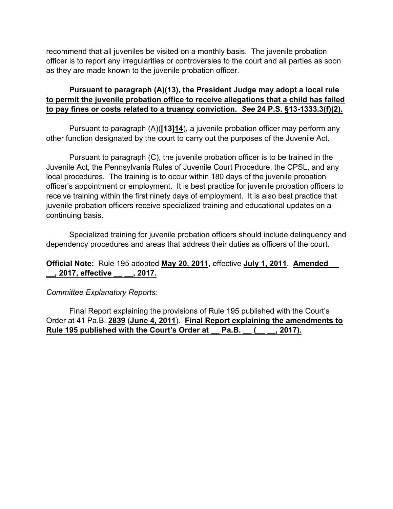recommend that all juveniles be visited on a monthly basis. The juvenile probation officer is to report any irregularities or controversies to the court and all parties as soon as they are made known to the juvenile probation officer.

## **Pursuant to paragraph (A)(13), the President Judge may adopt a local rule to permit the juvenile probation office to receive allegations that a child has failed to pay fines or costs related to a truancy conviction.** *See* **24 P.S. §13-1333.3(f)(2).**

Pursuant to paragraph (A)(**[13]14**), a juvenile probation officer may perform any other function designated by the court to carry out the purposes of the Juvenile Act.

Pursuant to paragraph (C), the juvenile probation officer is to be trained in the Juvenile Act, the Pennsylvania Rules of Juvenile Court Procedure, the CPSL, and any local procedures. The training is to occur within 180 days of the juvenile probation officer's appointment or employment. It is best practice for juvenile probation officers to receive training within the first ninety days of employment. It is also best practice that juvenile probation officers receive specialized training and educational updates on a continuing basis.

Specialized training for juvenile probation officers should include delinquency and dependency procedures and areas that address their duties as officers of the court.

### **Official Note:** Rule 195 adopted **May 20, 2011**, effective **July 1, 2011**. **Amended \_\_ \_\_, 2017, effective \_\_ \_\_, 2017.**

*Committee Explanatory Reports:*

Final Report explaining the provisions of Rule 195 published with the Court's Order at 41 Pa.B. **2839** (**June 4, 2011**). **Final Report explaining the amendments to Rule 195 published with the Court's Order at \_\_ Pa.B. \_\_ (\_\_ \_\_, 2017).**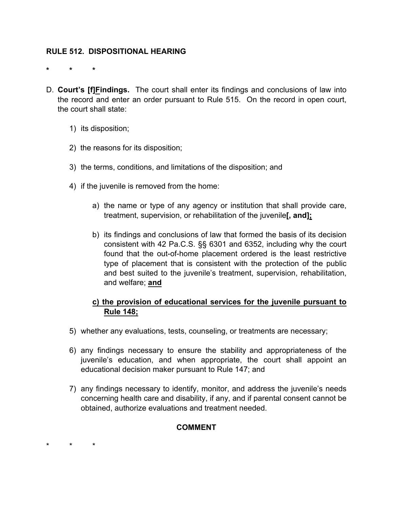### **RULE 512. DISPOSITIONAL HEARING**

**\* \* \***

- D. **Court's [f]Findings.** The court shall enter its findings and conclusions of law into the record and enter an order pursuant to Rule 515. On the record in open court, the court shall state:
	- 1) its disposition;
	- 2) the reasons for its disposition;
	- 3) the terms, conditions, and limitations of the disposition; and
	- 4) if the juvenile is removed from the home:
		- a) the name or type of any agency or institution that shall provide care, treatment, supervision, or rehabilitation of the juvenile**[, and];**
		- b) its findings and conclusions of law that formed the basis of its decision consistent with 42 Pa.C.S. §§ 6301 and 6352, including why the court found that the out-of-home placement ordered is the least restrictive type of placement that is consistent with the protection of the public and best suited to the juvenile's treatment, supervision, rehabilitation, and welfare; **and**

### **c) the provision of educational services for the juvenile pursuant to Rule 148;**

- 5) whether any evaluations, tests, counseling, or treatments are necessary;
- 6) any findings necessary to ensure the stability and appropriateness of the juvenile's education, and when appropriate, the court shall appoint an educational decision maker pursuant to Rule 147; and
- 7) any findings necessary to identify, monitor, and address the juvenile's needs concerning health care and disability, if any, and if parental consent cannot be obtained, authorize evaluations and treatment needed.

#### **COMMENT**

\* \* \*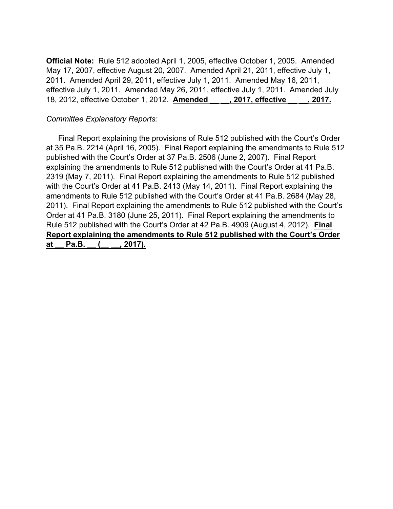**Official Note:** Rule 512 adopted April 1, 2005, effective October 1, 2005. Amended May 17, 2007, effective August 20, 2007. Amended April 21, 2011, effective July 1, 2011. Amended April 29, 2011, effective July 1, 2011. Amended May 16, 2011, effective July 1, 2011. Amended May 26, 2011, effective July 1, 2011. Amended July 18, 2012, effective October 1, 2012. **Amended \_\_ \_\_, 2017, effective \_\_ \_\_, 2017.**

### *Committee Explanatory Reports:*

Final Report explaining the provisions of Rule 512 published with the Court's Order at 35 Pa.B. 2214 (April 16, 2005). Final Report explaining the amendments to Rule 512 published with the Court's Order at 37 Pa.B. 2506 (June 2, 2007). Final Report explaining the amendments to Rule 512 published with the Court's Order at 41 Pa.B. 2319 (May 7, 2011). Final Report explaining the amendments to Rule 512 published with the Court's Order at 41 Pa.B. 2413 (May 14, 2011). Final Report explaining the amendments to Rule 512 published with the Court's Order at 41 Pa.B. 2684 (May 28, 2011). Final Report explaining the amendments to Rule 512 published with the Court's Order at 41 Pa.B. 3180 (June 25, 2011). Final Report explaining the amendments to Rule 512 published with the Court's Order at 42 Pa.B. 4909 (August 4, 2012). **Final Report explaining the amendments to Rule 512 published with the Court's Order**  at Pa.B. ( , 2017).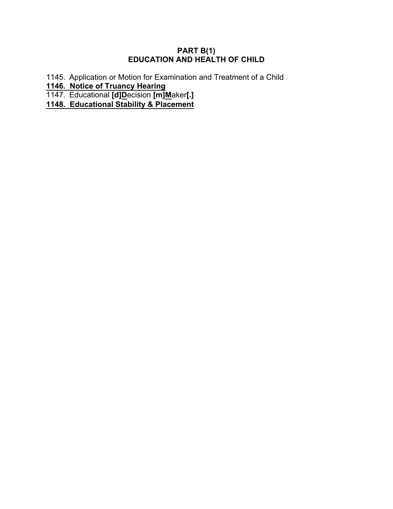### **PART B(1) EDUCATION AND HEALTH OF CHILD**

1145. Application or Motion for Examination and Treatment of a Child

**1146. Notice of Truancy Hearing**

1147. Educational **[d]D**ecision **[m]M**aker**[.]**

**1148. Educational Stability & Placement**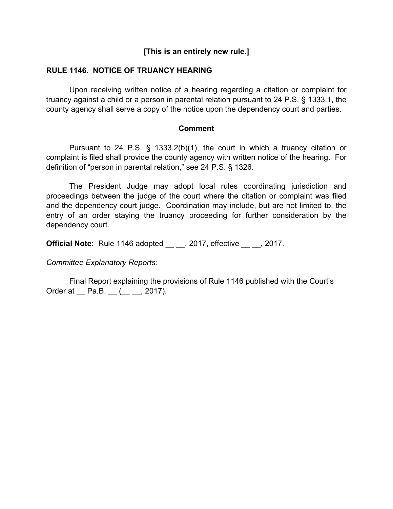### **[This is an entirely new rule.]**

#### **RULE 1146. NOTICE OF TRUANCY HEARING**

Upon receiving written notice of a hearing regarding a citation or complaint for truancy against a child or a person in parental relation pursuant to 24 P.S. § 1333.1, the county agency shall serve a copy of the notice upon the dependency court and parties.

#### **Comment**

Pursuant to 24 P.S. § 1333.2(b)(1), the court in which a truancy citation or complaint is filed shall provide the county agency with written notice of the hearing. For definition of "person in parental relation," see 24 P.S. § 1326.

The President Judge may adopt local rules coordinating jurisdiction and proceedings between the judge of the court where the citation or complaint was filed and the dependency court judge. Coordination may include, but are not limited to, the entry of an order staying the truancy proceeding for further consideration by the dependency court.

**Official Note:** Rule 1146 adopted , 2017, effective , 2017.

*Committee Explanatory Reports:*

Final Report explaining the provisions of Rule 1146 published with the Court's Order at <u>Pa.B. (</u> \_ \_, 2017).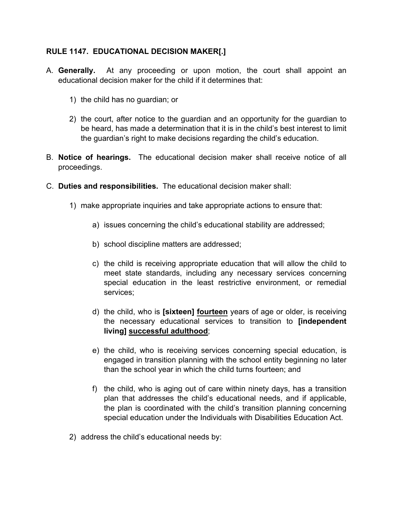### **RULE 1147. EDUCATIONAL DECISION MAKER[.]**

- A. **Generally.** At any proceeding or upon motion, the court shall appoint an educational decision maker for the child if it determines that:
	- 1) the child has no guardian; or
	- 2) the court, after notice to the guardian and an opportunity for the guardian to be heard, has made a determination that it is in the child's best interest to limit the guardian's right to make decisions regarding the child's education.
- B. **Notice of hearings.** The educational decision maker shall receive notice of all proceedings.
- C. **Duties and responsibilities.** The educational decision maker shall:
	- 1) make appropriate inquiries and take appropriate actions to ensure that:
		- a) issues concerning the child's educational stability are addressed;
		- b) school discipline matters are addressed;
		- c) the child is receiving appropriate education that will allow the child to meet state standards, including any necessary services concerning special education in the least restrictive environment, or remedial services;
		- d) the child, who is **[sixteen] fourteen** years of age or older, is receiving the necessary educational services to transition to **[independent living] successful adulthood**;
		- e) the child, who is receiving services concerning special education, is engaged in transition planning with the school entity beginning no later than the school year in which the child turns fourteen; and
		- f) the child, who is aging out of care within ninety days, has a transition plan that addresses the child's educational needs, and if applicable, the plan is coordinated with the child's transition planning concerning special education under the Individuals with Disabilities Education Act.
	- 2) address the child's educational needs by: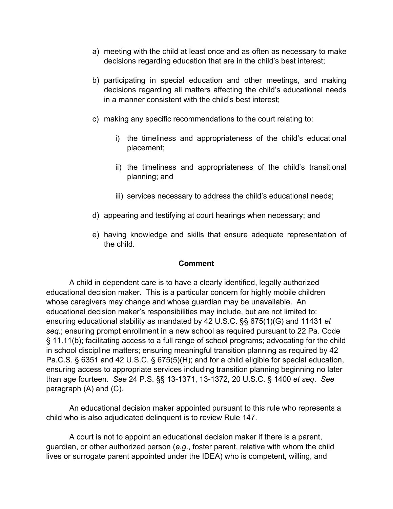- a) meeting with the child at least once and as often as necessary to make decisions regarding education that are in the child's best interest;
- b) participating in special education and other meetings, and making decisions regarding all matters affecting the child's educational needs in a manner consistent with the child's best interest;
- c) making any specific recommendations to the court relating to:
	- i) the timeliness and appropriateness of the child's educational placement;
	- ii) the timeliness and appropriateness of the child's transitional planning; and
	- iii) services necessary to address the child's educational needs;
- d) appearing and testifying at court hearings when necessary; and
- e) having knowledge and skills that ensure adequate representation of the child.

#### **Comment**

A child in dependent care is to have a clearly identified, legally authorized educational decision maker. This is a particular concern for highly mobile children whose caregivers may change and whose guardian may be unavailable. An educational decision maker's responsibilities may include, but are not limited to: ensuring educational stability as mandated by 42 U.S.C. §§ 675(1)(G) and 11431 *et seq*.; ensuring prompt enrollment in a new school as required pursuant to 22 Pa. Code § 11.11(b); facilitating access to a full range of school programs; advocating for the child in school discipline matters; ensuring meaningful transition planning as required by 42 Pa.C.S. § 6351 and 42 U.S.C. § 675(5)(H); and for a child eligible for special education, ensuring access to appropriate services including transition planning beginning no later than age fourteen. *See* 24 P.S. §§ 13-1371, 13-1372, 20 U.S.C. § 1400 *et seq*. *See* paragraph (A) and (C).

An educational decision maker appointed pursuant to this rule who represents a child who is also adjudicated delinquent is to review Rule 147.

A court is not to appoint an educational decision maker if there is a parent, guardian, or other authorized person (*e.g*., foster parent, relative with whom the child lives or surrogate parent appointed under the IDEA) who is competent, willing, and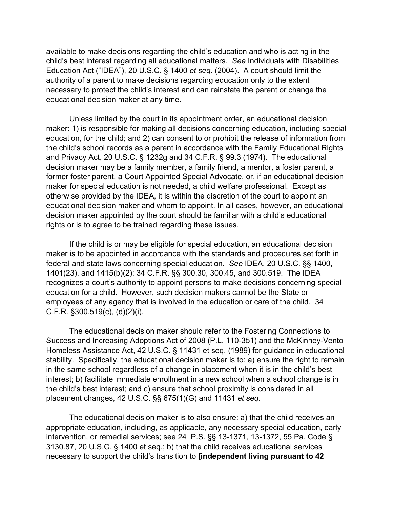available to make decisions regarding the child's education and who is acting in the child's best interest regarding all educational matters. *See* Individuals with Disabilities Education Act ("IDEA"), 20 U.S.C. § 1400 *et seq*. (2004). A court should limit the authority of a parent to make decisions regarding education only to the extent necessary to protect the child's interest and can reinstate the parent or change the educational decision maker at any time.

Unless limited by the court in its appointment order, an educational decision maker: 1) is responsible for making all decisions concerning education, including special education, for the child; and 2) can consent to or prohibit the release of information from the child's school records as a parent in accordance with the Family Educational Rights and Privacy Act, 20 U.S.C. § 1232g and 34 C.F.R. § 99.3 (1974). The educational decision maker may be a family member, a family friend, a mentor, a foster parent, a former foster parent, a Court Appointed Special Advocate, or, if an educational decision maker for special education is not needed, a child welfare professional. Except as otherwise provided by the IDEA, it is within the discretion of the court to appoint an educational decision maker and whom to appoint. In all cases, however, an educational decision maker appointed by the court should be familiar with a child's educational rights or is to agree to be trained regarding these issues.

If the child is or may be eligible for special education, an educational decision maker is to be appointed in accordance with the standards and procedures set forth in federal and state laws concerning special education. *See* IDEA, 20 U.S.C. §§ 1400, 1401(23), and 1415(b)(2); 34 C.F.R. §§ 300.30, 300.45, and 300.519. The IDEA recognizes a court's authority to appoint persons to make decisions concerning special education for a child. However, such decision makers cannot be the State or employees of any agency that is involved in the education or care of the child. 34 C.F.R. §300.519(c), (d)(2)(i).

The educational decision maker should refer to the Fostering Connections to Success and Increasing Adoptions Act of 2008 (P.L. 110-351) and the McKinney-Vento Homeless Assistance Act, 42 U.S.C. § 11431 et seq. (1989) for guidance in educational stability. Specifically, the educational decision maker is to: a) ensure the right to remain in the same school regardless of a change in placement when it is in the child's best interest; b) facilitate immediate enrollment in a new school when a school change is in the child's best interest; and c) ensure that school proximity is considered in all placement changes, 42 U.S.C. §§ 675(1)(G) and 11431 *et seq*.

The educational decision maker is to also ensure: a) that the child receives an appropriate education, including, as applicable, any necessary special education, early intervention, or remedial services; see 24 P.S. §§ 13-1371, 13-1372, 55 Pa. Code § 3130.87, 20 U.S.C. § 1400 et seq.; b) that the child receives educational services necessary to support the child's transition to **[independent living pursuant to 42**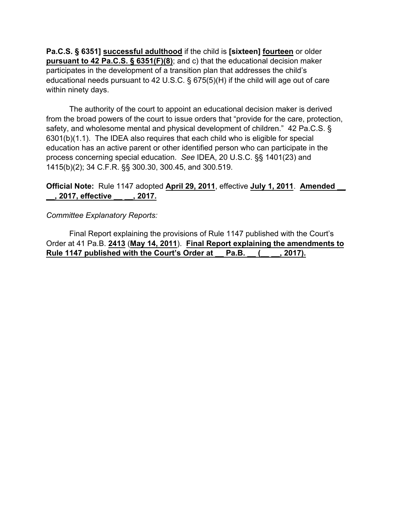**Pa.C.S. § 6351] successful adulthood** if the child is **[sixteen] fourteen** or older **pursuant to 42 Pa.C.S. § 6351(F)(8)**; and c) that the educational decision maker participates in the development of a transition plan that addresses the child's educational needs pursuant to 42 U.S.C. § 675(5)(H) if the child will age out of care within ninety days.

The authority of the court to appoint an educational decision maker is derived from the broad powers of the court to issue orders that "provide for the care, protection, safety, and wholesome mental and physical development of children." 42 Pa.C.S. § 6301(b)(1.1). The IDEA also requires that each child who is eligible for special education has an active parent or other identified person who can participate in the process concerning special education. *See* IDEA, 20 U.S.C. §§ 1401(23) and 1415(b)(2); 34 C.F.R. §§ 300.30, 300.45, and 300.519.

## **Official Note:** Rule 1147 adopted **April 29, 2011**, effective **July 1, 2011**. **Amended \_\_ \_\_, 2017, effective \_\_ \_\_, 2017.**

*Committee Explanatory Reports:*

Final Report explaining the provisions of Rule 1147 published with the Court's Order at 41 Pa.B. **2413** (**May 14, 2011**). **Final Report explaining the amendments to Rule 1147 published with the Court's Order at \_\_ Pa.B. \_\_ (\_\_ \_\_, 2017).**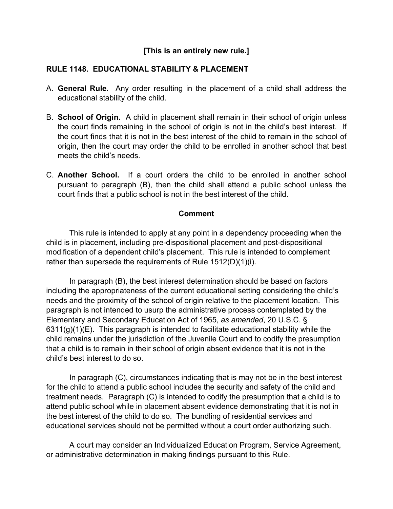## **[This is an entirely new rule.]**

### **RULE 1148. EDUCATIONAL STABILITY & PLACEMENT**

- A. **General Rule.** Any order resulting in the placement of a child shall address the educational stability of the child.
- B. **School of Origin.** A child in placement shall remain in their school of origin unless the court finds remaining in the school of origin is not in the child's best interest. If the court finds that it is not in the best interest of the child to remain in the school of origin, then the court may order the child to be enrolled in another school that best meets the child's needs.
- C. **Another School.** If a court orders the child to be enrolled in another school pursuant to paragraph (B), then the child shall attend a public school unless the court finds that a public school is not in the best interest of the child.

#### **Comment**

This rule is intended to apply at any point in a dependency proceeding when the child is in placement, including pre-dispositional placement and post-dispositional modification of a dependent child's placement. This rule is intended to complement rather than supersede the requirements of Rule 1512(D)(1)(i).

In paragraph (B), the best interest determination should be based on factors including the appropriateness of the current educational setting considering the child's needs and the proximity of the school of origin relative to the placement location. This paragraph is not intended to usurp the administrative process contemplated by the Elementary and Secondary Education Act of 1965, *as amended*, 20 U.S.C. §  $6311(g)(1)(E)$ . This paragraph is intended to facilitate educational stability while the child remains under the jurisdiction of the Juvenile Court and to codify the presumption that a child is to remain in their school of origin absent evidence that it is not in the child's best interest to do so.

In paragraph (C), circumstances indicating that is may not be in the best interest for the child to attend a public school includes the security and safety of the child and treatment needs. Paragraph (C) is intended to codify the presumption that a child is to attend public school while in placement absent evidence demonstrating that it is not in the best interest of the child to do so. The bundling of residential services and educational services should not be permitted without a court order authorizing such.

A court may consider an Individualized Education Program, Service Agreement, or administrative determination in making findings pursuant to this Rule.